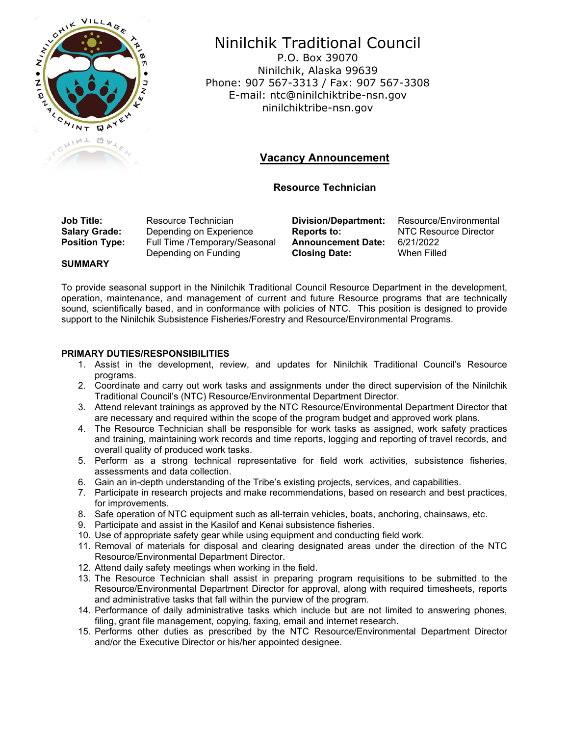

# Ninilchik Traditional Council

P.O. Box 39070 Ninilchik, Alaska 99639 Phone: 907 567-3313 / Fax: 907 567-3308 E-mail: ntc@ninilchiktribe-nsn.gov ninilchiktribe-nsn.gov

# **Vacancy Announcement**

## **Resource Technician**

**Job Title:** Resource Technician **Division/Department:** Resource/Environmental **Salary Grade:** Depending on Experience Reports to: NTC Resource Director **Depending on Experience Position Type:** Full Time /Temporary/Seasonal Depending on Funding

**Announcement Date: Closing Date:**

6/21/2022 When Filled

## **SUMMARY**

To provide seasonal support in the Ninilchik Traditional Council Resource Department in the development, operation, maintenance, and management of current and future Resource programs that are technically sound, scientifically based, and in conformance with policies of NTC. This position is designed to provide support to the Ninilchik Subsistence Fisheries/Forestry and Resource/Environmental Programs.

## **PRIMARY DUTIES/RESPONSIBILITIES**

- 1. Assist in the development, review, and updates for Ninilchik Traditional Council's Resource programs.
- 2. Coordinate and carry out work tasks and assignments under the direct supervision of the Ninilchik Traditional Council's (NTC) Resource/Environmental Department Director.
- 3. Attend relevant trainings as approved by the NTC Resource/Environmental Department Director that are necessary and required within the scope of the program budget and approved work plans.
- 4. The Resource Technician shall be responsible for work tasks as assigned, work safety practices and training, maintaining work records and time reports, logging and reporting of travel records, and overall quality of produced work tasks.
- 5. Perform as a strong technical representative for field work activities, subsistence fisheries, assessments and data collection.
- 6. Gain an in-depth understanding of the Tribe's existing projects, services, and capabilities.
- 7. Participate in research projects and make recommendations, based on research and best practices, for improvements.
- 8. Safe operation of NTC equipment such as all-terrain vehicles, boats, anchoring, chainsaws, etc.
- 9. Participate and assist in the Kasilof and Kenai subsistence fisheries.
- 10. Use of appropriate safety gear while using equipment and conducting field work.
- 11. Removal of materials for disposal and clearing designated areas under the direction of the NTC Resource/Environmental Department Director.
- 12. Attend daily safety meetings when working in the field.
- 13. The Resource Technician shall assist in preparing program requisitions to be submitted to the Resource/Environmental Department Director for approval, along with required timesheets, reports and administrative tasks that fall within the purview of the program.
- 14. Performance of daily administrative tasks which include but are not limited to answering phones, filing, grant file management, copying, faxing, email and internet research.
- 15. Performs other duties as prescribed by the NTC Resource/Environmental Department Director and/or the Executive Director or his/her appointed designee.